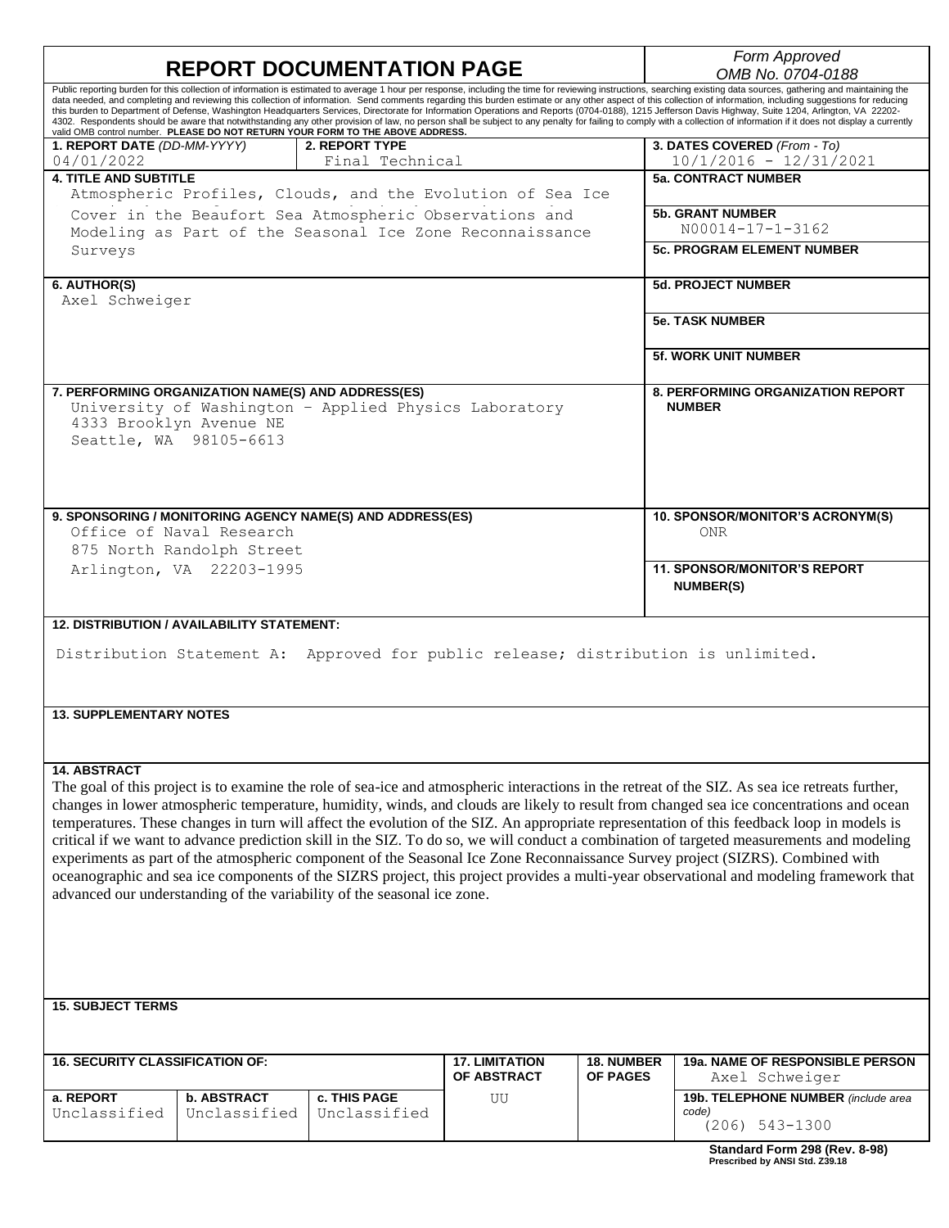| <b>REPORT DOCUMENTATION PAGE</b>                                                                                                                                                                                                                                                                                                                                                                                           |                 |                       |                   | Form Approved<br>OMB No. 0704-0188                        |
|----------------------------------------------------------------------------------------------------------------------------------------------------------------------------------------------------------------------------------------------------------------------------------------------------------------------------------------------------------------------------------------------------------------------------|-----------------|-----------------------|-------------------|-----------------------------------------------------------|
| Public reporting burden for this collection of information is estimated to average 1 hour per response, including the time for reviewing instructions, searching existing data sources, gathering and maintaining the                                                                                                                                                                                                      |                 |                       |                   |                                                           |
| data needed, and completing and reviewing this collection of information. Send comments regarding this burden estimate or any other aspect of this collection of information, including suggestions for reducing<br>this burden to Department of Defense, Washington Headquarters Services, Directorate for Information Operations and Reports (0704-0188), 1215 Jefferson Davis Highway, Suite 1204, Arlington, VA 22202- |                 |                       |                   |                                                           |
| 4302. Respondents should be aware that notwithstanding any other provision of law, no person shall be subject to any penalty for failing to comply with a collection of information if it does not display a currently                                                                                                                                                                                                     |                 |                       |                   |                                                           |
| valid OMB control number. PLEASE DO NOT RETURN YOUR FORM TO THE ABOVE ADDRESS.<br>1. REPORT DATE (DD-MM-YYYY)                                                                                                                                                                                                                                                                                                              | 2. REPORT TYPE  |                       |                   | 3. DATES COVERED (From - To)                              |
| 04/01/2022                                                                                                                                                                                                                                                                                                                                                                                                                 | Final Technical |                       |                   | $10/1/2016 - 12/31/2021$                                  |
| <b>4. TITLE AND SUBTITLE</b>                                                                                                                                                                                                                                                                                                                                                                                               |                 |                       |                   | <b>5a. CONTRACT NUMBER</b>                                |
| Atmospheric Profiles, Clouds, and the Evolution of Sea Ice                                                                                                                                                                                                                                                                                                                                                                 |                 |                       |                   |                                                           |
| Cover in the Beaufort Sea Atmospheric Observations and                                                                                                                                                                                                                                                                                                                                                                     |                 |                       |                   | <b>5b. GRANT NUMBER</b>                                   |
| Modeling as Part of the Seasonal Ice Zone Reconnaissance                                                                                                                                                                                                                                                                                                                                                                   |                 |                       |                   | N00014-17-1-3162                                          |
| Surveys                                                                                                                                                                                                                                                                                                                                                                                                                    |                 |                       |                   | <b>5c. PROGRAM ELEMENT NUMBER</b>                         |
|                                                                                                                                                                                                                                                                                                                                                                                                                            |                 |                       |                   |                                                           |
| 6. AUTHOR(S)                                                                                                                                                                                                                                                                                                                                                                                                               |                 |                       |                   | <b>5d. PROJECT NUMBER</b>                                 |
| Axel Schweiger                                                                                                                                                                                                                                                                                                                                                                                                             |                 |                       |                   |                                                           |
|                                                                                                                                                                                                                                                                                                                                                                                                                            |                 |                       |                   |                                                           |
|                                                                                                                                                                                                                                                                                                                                                                                                                            |                 |                       |                   | <b>5e. TASK NUMBER</b>                                    |
|                                                                                                                                                                                                                                                                                                                                                                                                                            |                 |                       |                   |                                                           |
|                                                                                                                                                                                                                                                                                                                                                                                                                            |                 |                       |                   | <b>5f. WORK UNIT NUMBER</b>                               |
|                                                                                                                                                                                                                                                                                                                                                                                                                            |                 |                       |                   |                                                           |
| 7. PERFORMING ORGANIZATION NAME(S) AND ADDRESS(ES)                                                                                                                                                                                                                                                                                                                                                                         |                 |                       |                   | <b>8. PERFORMING ORGANIZATION REPORT</b><br><b>NUMBER</b> |
| University of Washington - Applied Physics Laboratory<br>4333 Brooklyn Avenue NE                                                                                                                                                                                                                                                                                                                                           |                 |                       |                   |                                                           |
| Seattle, WA 98105-6613                                                                                                                                                                                                                                                                                                                                                                                                     |                 |                       |                   |                                                           |
|                                                                                                                                                                                                                                                                                                                                                                                                                            |                 |                       |                   |                                                           |
|                                                                                                                                                                                                                                                                                                                                                                                                                            |                 |                       |                   |                                                           |
|                                                                                                                                                                                                                                                                                                                                                                                                                            |                 |                       |                   |                                                           |
|                                                                                                                                                                                                                                                                                                                                                                                                                            |                 |                       |                   |                                                           |
| 9. SPONSORING / MONITORING AGENCY NAME(S) AND ADDRESS(ES)                                                                                                                                                                                                                                                                                                                                                                  |                 |                       |                   | 10. SPONSOR/MONITOR'S ACRONYM(S)                          |
| Office of Naval Research                                                                                                                                                                                                                                                                                                                                                                                                   |                 |                       |                   | <b>ONR</b>                                                |
| 875 North Randolph Street                                                                                                                                                                                                                                                                                                                                                                                                  |                 |                       |                   |                                                           |
| Arlington, VA 22203-1995                                                                                                                                                                                                                                                                                                                                                                                                   |                 |                       |                   | <b>11. SPONSOR/MONITOR'S REPORT</b>                       |
|                                                                                                                                                                                                                                                                                                                                                                                                                            |                 |                       |                   | <b>NUMBER(S)</b>                                          |
|                                                                                                                                                                                                                                                                                                                                                                                                                            |                 |                       |                   |                                                           |
| <b>12. DISTRIBUTION / AVAILABILITY STATEMENT:</b>                                                                                                                                                                                                                                                                                                                                                                          |                 |                       |                   |                                                           |
|                                                                                                                                                                                                                                                                                                                                                                                                                            |                 |                       |                   |                                                           |
| Distribution Statement A: Approved for public release; distribution is unlimited.                                                                                                                                                                                                                                                                                                                                          |                 |                       |                   |                                                           |
|                                                                                                                                                                                                                                                                                                                                                                                                                            |                 |                       |                   |                                                           |
|                                                                                                                                                                                                                                                                                                                                                                                                                            |                 |                       |                   |                                                           |
| <b>13. SUPPLEMENTARY NOTES</b>                                                                                                                                                                                                                                                                                                                                                                                             |                 |                       |                   |                                                           |
|                                                                                                                                                                                                                                                                                                                                                                                                                            |                 |                       |                   |                                                           |
|                                                                                                                                                                                                                                                                                                                                                                                                                            |                 |                       |                   |                                                           |
| 14. ABSTRACT                                                                                                                                                                                                                                                                                                                                                                                                               |                 |                       |                   |                                                           |
| The goal of this project is to examine the role of sea-ice and atmospheric interactions in the retreat of the SIZ. As sea ice retreats further,                                                                                                                                                                                                                                                                            |                 |                       |                   |                                                           |
| changes in lower atmospheric temperature, humidity, winds, and clouds are likely to result from changed sea ice concentrations and ocean                                                                                                                                                                                                                                                                                   |                 |                       |                   |                                                           |
| temperatures. These changes in turn will affect the evolution of the SIZ. An appropriate representation of this feedback loop in models is                                                                                                                                                                                                                                                                                 |                 |                       |                   |                                                           |
|                                                                                                                                                                                                                                                                                                                                                                                                                            |                 |                       |                   |                                                           |
| critical if we want to advance prediction skill in the SIZ. To do so, we will conduct a combination of targeted measurements and modeling                                                                                                                                                                                                                                                                                  |                 |                       |                   |                                                           |
| experiments as part of the atmospheric component of the Seasonal Ice Zone Reconnaissance Survey project (SIZRS). Combined with                                                                                                                                                                                                                                                                                             |                 |                       |                   |                                                           |
| oceanographic and sea ice components of the SIZRS project, this project provides a multi-year observational and modeling framework that                                                                                                                                                                                                                                                                                    |                 |                       |                   |                                                           |
| advanced our understanding of the variability of the seasonal ice zone.                                                                                                                                                                                                                                                                                                                                                    |                 |                       |                   |                                                           |
|                                                                                                                                                                                                                                                                                                                                                                                                                            |                 |                       |                   |                                                           |
|                                                                                                                                                                                                                                                                                                                                                                                                                            |                 |                       |                   |                                                           |
|                                                                                                                                                                                                                                                                                                                                                                                                                            |                 |                       |                   |                                                           |
|                                                                                                                                                                                                                                                                                                                                                                                                                            |                 |                       |                   |                                                           |
|                                                                                                                                                                                                                                                                                                                                                                                                                            |                 |                       |                   |                                                           |
| <b>15. SUBJECT TERMS</b>                                                                                                                                                                                                                                                                                                                                                                                                   |                 |                       |                   |                                                           |
|                                                                                                                                                                                                                                                                                                                                                                                                                            |                 |                       |                   |                                                           |
|                                                                                                                                                                                                                                                                                                                                                                                                                            |                 |                       |                   |                                                           |
| <b>16. SECURITY CLASSIFICATION OF:</b>                                                                                                                                                                                                                                                                                                                                                                                     |                 | <b>17. LIMITATION</b> | <b>18. NUMBER</b> | 19a. NAME OF RESPONSIBLE PERSON                           |
|                                                                                                                                                                                                                                                                                                                                                                                                                            |                 | OF ABSTRACT           | <b>OF PAGES</b>   | Axel Schweiger                                            |
| <b>b. ABSTRACT</b><br>a. REPORT                                                                                                                                                                                                                                                                                                                                                                                            | c. THIS PAGE    |                       |                   |                                                           |
| Unclassified<br>Unclassified                                                                                                                                                                                                                                                                                                                                                                                               | Unclassified    | UU                    |                   | 19b. TELEPHONE NUMBER (include area<br>code)              |

(206) 543-1300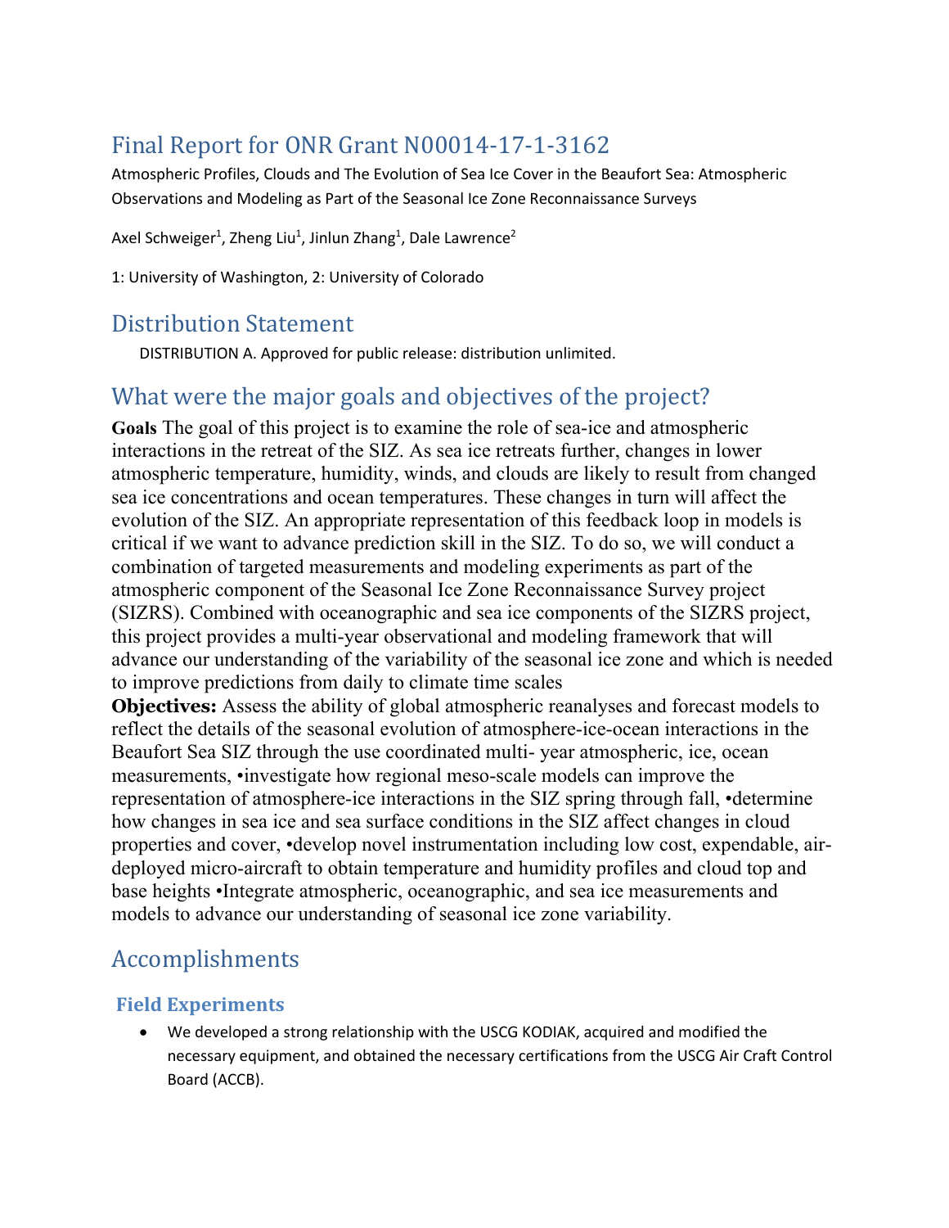# Final Report for ONR Grant N00014-17-1-3162

Atmospheric Profiles, Clouds and The Evolution of Sea Ice Cover in the Beaufort Sea: Atmospheric Observations and Modeling as Part of the Seasonal Ice Zone Reconnaissance Surveys

Axel Schweiger<sup>1</sup>, Zheng Liu<sup>1</sup>, Jinlun Zhang<sup>1</sup>, Dale Lawrence<sup>2</sup>

1: University of Washington, 2: University of Colorado

### Distribution Statement

DISTRIBUTION A. Approved for public release: distribution unlimited.

## What were the major goals and objectives of the project?

**Goals** The goal of this project is to examine the role of sea-ice and atmospheric interactions in the retreat of the SIZ. As sea ice retreats further, changes in lower atmospheric temperature, humidity, winds, and clouds are likely to result from changed sea ice concentrations and ocean temperatures. These changes in turn will affect the evolution of the SIZ. An appropriate representation of this feedback loop in models is critical if we want to advance prediction skill in the SIZ. To do so, we will conduct a combination of targeted measurements and modeling experiments as part of the atmospheric component of the Seasonal Ice Zone Reconnaissance Survey project (SIZRS). Combined with oceanographic and sea ice components of the SIZRS project, this project provides a multi-year observational and modeling framework that will advance our understanding of the variability of the seasonal ice zone and which is needed to improve predictions from daily to climate time scales

**Objectives:** Assess the ability of global atmospheric reanalyses and forecast models to reflect the details of the seasonal evolution of atmosphere-ice-ocean interactions in the Beaufort Sea SIZ through the use coordinated multi- year atmospheric, ice, ocean measurements, •investigate how regional meso-scale models can improve the representation of atmosphere-ice interactions in the SIZ spring through fall, •determine how changes in sea ice and sea surface conditions in the SIZ affect changes in cloud properties and cover, •develop novel instrumentation including low cost, expendable, airdeployed micro-aircraft to obtain temperature and humidity profiles and cloud top and base heights •Integrate atmospheric, oceanographic, and sea ice measurements and models to advance our understanding of seasonal ice zone variability.

# Accomplishments

### **Field Experiments**

• We developed a strong relationship with the USCG KODIAK, acquired and modified the necessary equipment, and obtained the necessary certifications from the USCG Air Craft Control Board (ACCB).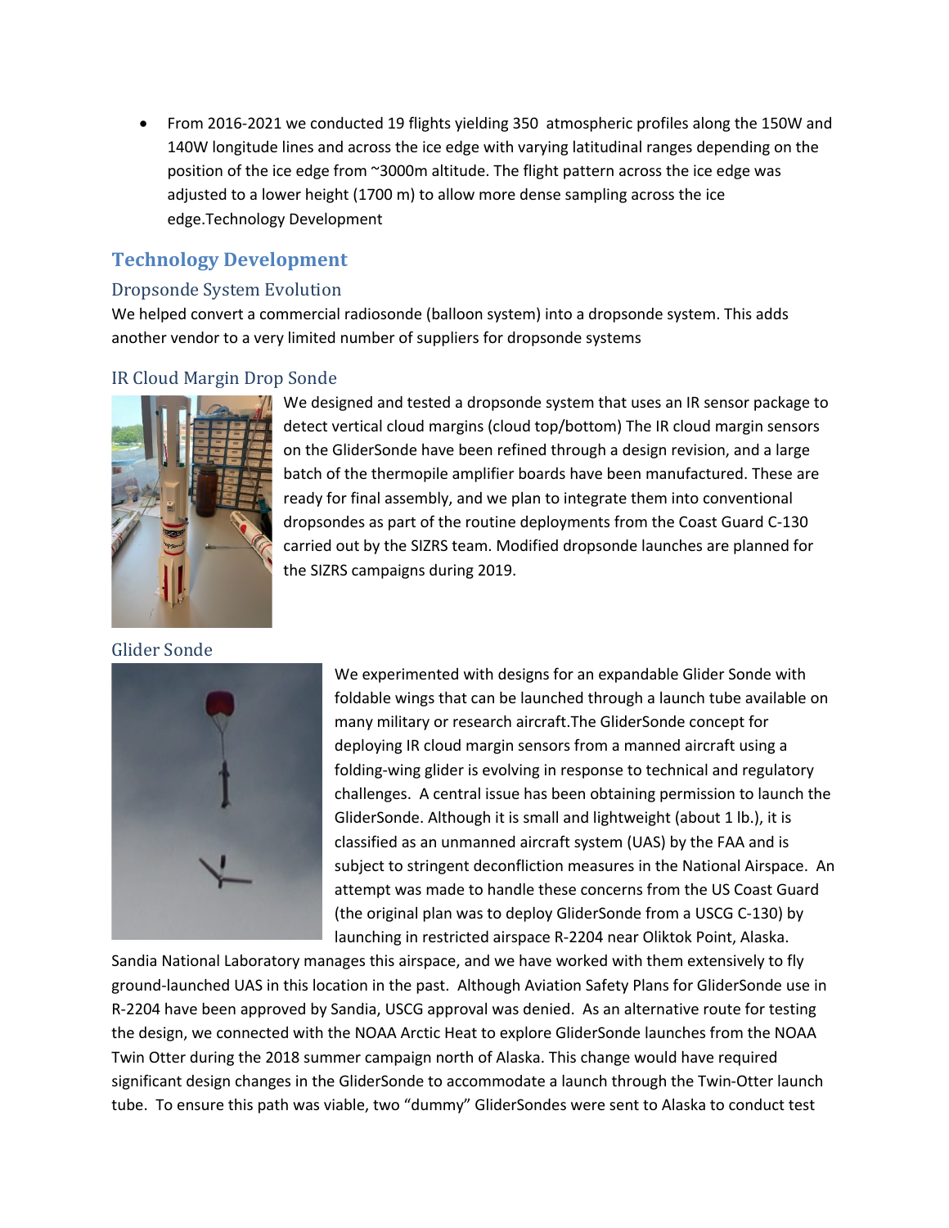• From 2016-2021 we conducted 19 flights yielding 350 atmospheric profiles along the 150W and 140W longitude lines and across the ice edge with varying latitudinal ranges depending on the position of the ice edge from ~3000m altitude. The flight pattern across the ice edge was adjusted to a lower height (1700 m) to allow more dense sampling across the ice edge.Technology Development

### **Technology Development**

#### Dropsonde System Evolution

We helped convert a commercial radiosonde (balloon system) into a dropsonde system. This adds another vendor to a very limited number of suppliers for dropsonde systems

#### IR Cloud Margin Drop Sonde



Glider Sonde



We designed and tested a dropsonde system that uses an IR sensor package to detect vertical cloud margins (cloud top/bottom) The IR cloud margin sensors on the GliderSonde have been refined through a design revision, and a large batch of the thermopile amplifier boards have been manufactured. These are ready for final assembly, and we plan to integrate them into conventional dropsondes as part of the routine deployments from the Coast Guard C-130 carried out by the SIZRS team. Modified dropsonde launches are planned for the SIZRS campaigns during 2019.

We experimented with designs for an expandable Glider Sonde with foldable wings that can be launched through a launch tube available on many military or research aircraft.The GliderSonde concept for deploying IR cloud margin sensors from a manned aircraft using a folding-wing glider is evolving in response to technical and regulatory challenges. A central issue has been obtaining permission to launch the GliderSonde. Although it is small and lightweight (about 1 lb.), it is classified as an unmanned aircraft system (UAS) by the FAA and is subject to stringent deconfliction measures in the National Airspace. An attempt was made to handle these concerns from the US Coast Guard (the original plan was to deploy GliderSonde from a USCG C-130) by launching in restricted airspace R-2204 near Oliktok Point, Alaska.

Sandia National Laboratory manages this airspace, and we have worked with them extensively to fly ground-launched UAS in this location in the past. Although Aviation Safety Plans for GliderSonde use in R-2204 have been approved by Sandia, USCG approval was denied. As an alternative route for testing the design, we connected with the NOAA Arctic Heat to explore GliderSonde launches from the NOAA Twin Otter during the 2018 summer campaign north of Alaska. This change would have required significant design changes in the GliderSonde to accommodate a launch through the Twin-Otter launch tube. To ensure this path was viable, two "dummy" GliderSondes were sent to Alaska to conduct test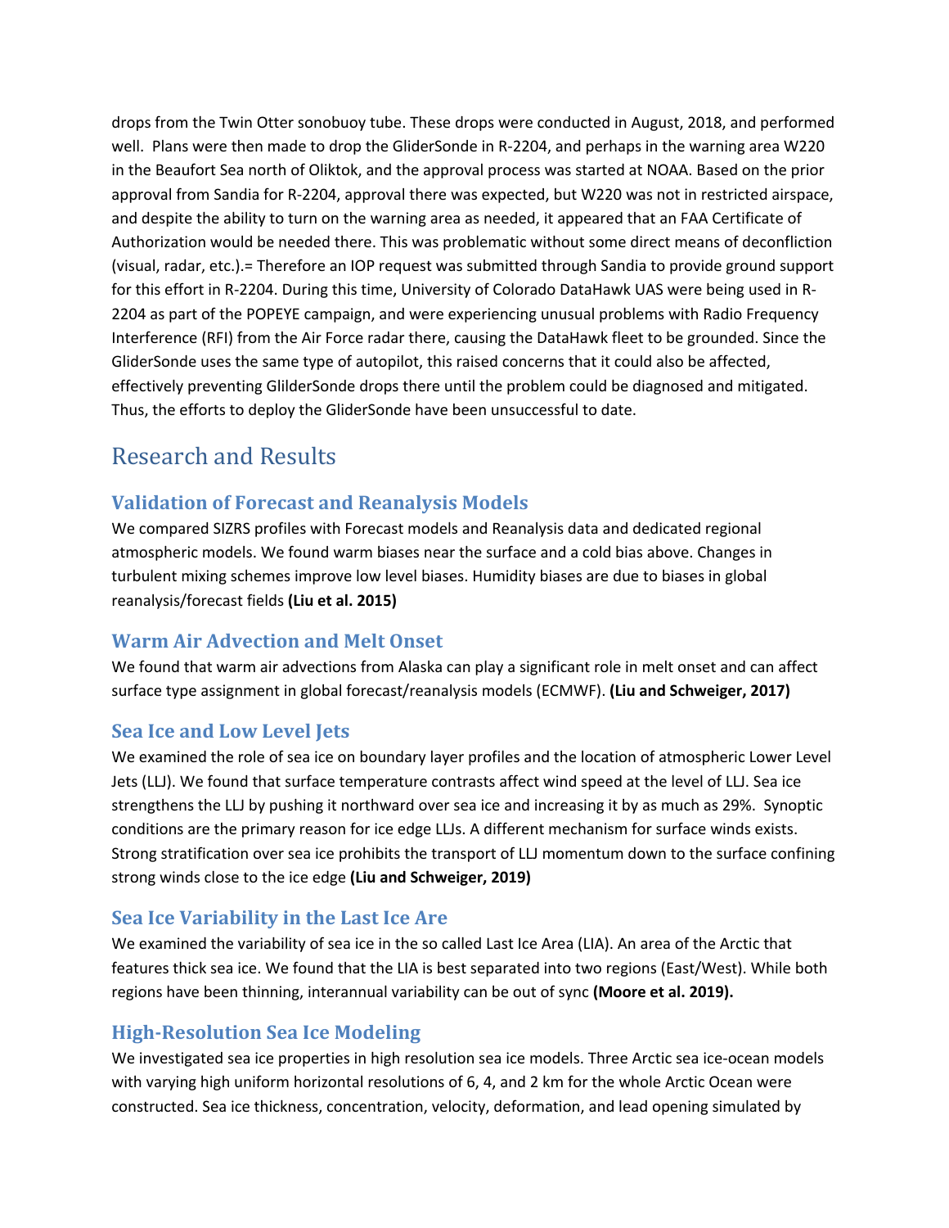drops from the Twin Otter sonobuoy tube. These drops were conducted in August, 2018, and performed well. Plans were then made to drop the GliderSonde in R-2204, and perhaps in the warning area W220 in the Beaufort Sea north of Oliktok, and the approval process was started at NOAA. Based on the prior approval from Sandia for R-2204, approval there was expected, but W220 was not in restricted airspace, and despite the ability to turn on the warning area as needed, it appeared that an FAA Certificate of Authorization would be needed there. This was problematic without some direct means of deconfliction (visual, radar, etc.).= Therefore an IOP request was submitted through Sandia to provide ground support for this effort in R-2204. During this time, University of Colorado DataHawk UAS were being used in R-2204 as part of the POPEYE campaign, and were experiencing unusual problems with Radio Frequency Interference (RFI) from the Air Force radar there, causing the DataHawk fleet to be grounded. Since the GliderSonde uses the same type of autopilot, this raised concerns that it could also be affected, effectively preventing GlilderSonde drops there until the problem could be diagnosed and mitigated. Thus, the efforts to deploy the GliderSonde have been unsuccessful to date.

# Research and Results

### **Validation of Forecast and Reanalysis Models**

We compared SIZRS profiles with Forecast models and Reanalysis data and dedicated regional atmospheric models. We found warm biases near the surface and a cold bias above. Changes in turbulent mixing schemes improve low level biases. Humidity biases are due to biases in global reanalysis/forecast fields **(Liu et al. 2015)**

#### **Warm Air Advection and Melt Onset**

We found that warm air advections from Alaska can play a significant role in melt onset and can affect surface type assignment in global forecast/reanalysis models (ECMWF). **(Liu and Schweiger, 2017)**

### **Sea Ice and Low Level Jets**

We examined the role of sea ice on boundary layer profiles and the location of atmospheric Lower Level Jets (LLJ). We found that surface temperature contrasts affect wind speed at the level of LLJ. Sea ice strengthens the LLJ by pushing it northward over sea ice and increasing it by as much as 29%. Synoptic conditions are the primary reason for ice edge LLJs. A different mechanism for surface winds exists. Strong stratification over sea ice prohibits the transport of LLJ momentum down to the surface confining strong winds close to the ice edge **(Liu and Schweiger, 2019)**

#### **Sea Ice Variability in the Last Ice Are**

We examined the variability of sea ice in the so called Last Ice Area (LIA). An area of the Arctic that features thick sea ice. We found that the LIA is best separated into two regions (East/West). While both regions have been thinning, interannual variability can be out of sync **(Moore et al. 2019).**

### **High-Resolution Sea Ice Modeling**

We investigated sea ice properties in high resolution sea ice models. Three Arctic sea ice-ocean models with varying high uniform horizontal resolutions of 6, 4, and 2 km for the whole Arctic Ocean were constructed. Sea ice thickness, concentration, velocity, deformation, and lead opening simulated by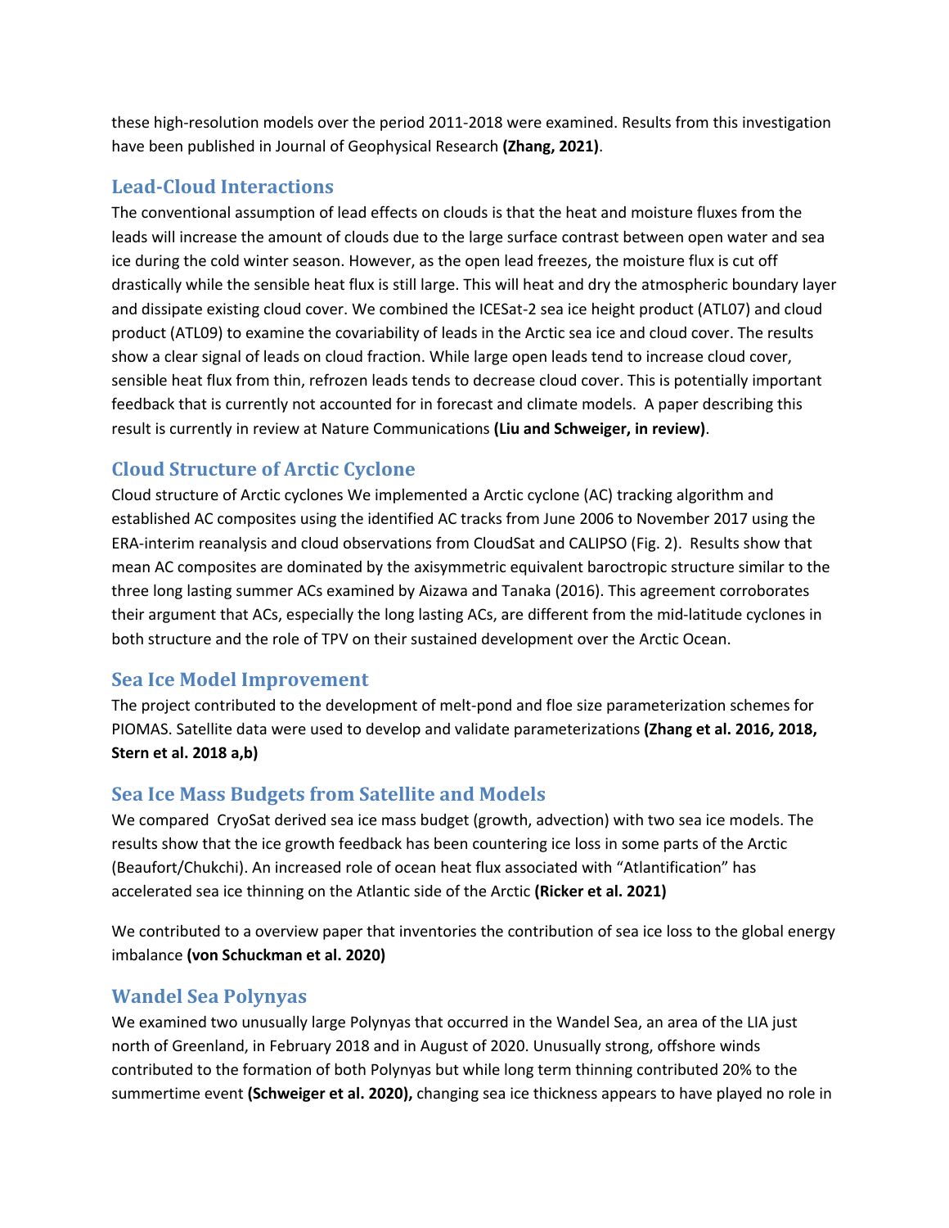these high-resolution models over the period 2011-2018 were examined. Results from this investigation have been published in Journal of Geophysical Research **(Zhang, 2021)**.

#### Lead-Cloud Interactions

The conventional assumption of lead effects on clouds is that the heat and moisture fluxes from the leads will increase the amount of clouds due to the large surface contrast between open water and sea ice during the cold winter season. However, as the open lead freezes, the moisture flux is cut off drastically while the sensible heat flux is still large. This will heat and dry the atmospheric boundary layer and dissipate existing cloud cover. We combined the ICESat-2 sea ice height product (ATL07) and cloud product (ATL09) to examine the covariability of leads in the Arctic sea ice and cloud cover. The results show a clear signal of leads on cloud fraction. While large open leads tend to increase cloud cover, sensible heat flux from thin, refrozen leads tends to decrease cloud cover. This is potentially important feedback that is currently not accounted for in forecast and climate models. A paper describing this result is currently in review at Nature Communications **(Liu and Schweiger, in review)**.

### **Cloud Structure of Arctic Cyclone**

Cloud structure of Arctic cyclones We implemented a Arctic cyclone (AC) tracking algorithm and established AC composites using the identified AC tracks from June 2006 to November 2017 using the ERA-interim reanalysis and cloud observations from CloudSat and CALIPSO (Fig. 2). Results show that mean AC composites are dominated by the axisymmetric equivalent baroctropic structure similar to the three long lasting summer ACs examined by Aizawa and Tanaka (2016). This agreement corroborates their argument that ACs, especially the long lasting ACs, are different from the mid-latitude cyclones in both structure and the role of TPV on their sustained development over the Arctic Ocean.

### **Sea Ice Model Improvement**

The project contributed to the development of melt-pond and floe size parameterization schemes for PIOMAS. Satellite data were used to develop and validate parameterizations **(Zhang et al. 2016, 2018, Stern et al. 2018 a,b)**

### **Sea Ice Mass Budgets from Satellite and Models**

We compared CryoSat derived sea ice mass budget (growth, advection) with two sea ice models. The results show that the ice growth feedback has been countering ice loss in some parts of the Arctic (Beaufort/Chukchi). An increased role of ocean heat flux associated with "Atlantification" has accelerated sea ice thinning on the Atlantic side of the Arctic **(Ricker et al. 2021)**

We contributed to a overview paper that inventories the contribution of sea ice loss to the global energy imbalance **(von Schuckman et al. 2020)**

### **Wandel Sea Polynyas**

We examined two unusually large Polynyas that occurred in the Wandel Sea, an area of the LIA just north of Greenland, in February 2018 and in August of 2020. Unusually strong, offshore winds contributed to the formation of both Polynyas but while long term thinning contributed 20% to the summertime event **(Schweiger et al. 2020),** changing sea ice thickness appears to have played no role in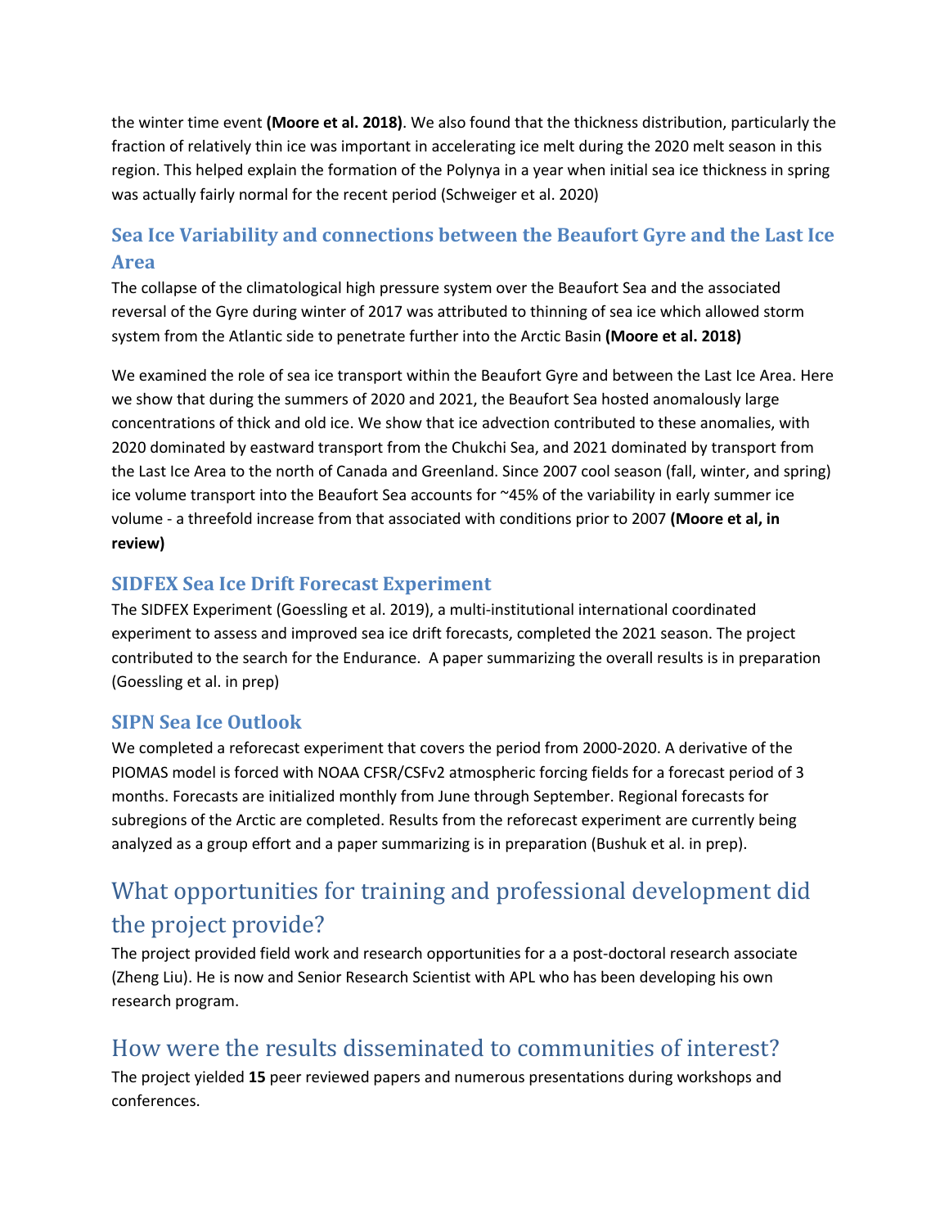the winter time event **(Moore et al. 2018)**. We also found that the thickness distribution, particularly the fraction of relatively thin ice was important in accelerating ice melt during the 2020 melt season in this region. This helped explain the formation of the Polynya in a year when initial sea ice thickness in spring was actually fairly normal for the recent period (Schweiger et al. 2020)

### **Sea Ice Variability and connections between the Beaufort Gyre and the Last Ice Area**

The collapse of the climatological high pressure system over the Beaufort Sea and the associated reversal of the Gyre during winter of 2017 was attributed to thinning of sea ice which allowed storm system from the Atlantic side to penetrate further into the Arctic Basin **(Moore et al. 2018)** 

We examined the role of sea ice transport within the Beaufort Gyre and between the Last Ice Area. Here we show that during the summers of 2020 and 2021, the Beaufort Sea hosted anomalously large concentrations of thick and old ice. We show that ice advection contributed to these anomalies, with 2020 dominated by eastward transport from the Chukchi Sea, and 2021 dominated by transport from the Last Ice Area to the north of Canada and Greenland. Since 2007 cool season (fall, winter, and spring) ice volume transport into the Beaufort Sea accounts for ~45% of the variability in early summer ice volume - a threefold increase from that associated with conditions prior to 2007 **(Moore et al, in review)**

### **SIDFEX Sea Ice Drift Forecast Experiment**

The SIDFEX Experiment (Goessling et al. 2019), a multi-institutional international coordinated experiment to assess and improved sea ice drift forecasts, completed the 2021 season. The project contributed to the search for the Endurance. A paper summarizing the overall results is in preparation (Goessling et al. in prep)

### **SIPN Sea Ice Outlook**

We completed a reforecast experiment that covers the period from 2000-2020. A derivative of the PIOMAS model is forced with NOAA CFSR/CSFv2 atmospheric forcing fields for a forecast period of 3 months. Forecasts are initialized monthly from June through September. Regional forecasts for subregions of the Arctic are completed. Results from the reforecast experiment are currently being analyzed as a group effort and a paper summarizing is in preparation (Bushuk et al. in prep).

# What opportunities for training and professional development did the project provide?

The project provided field work and research opportunities for a a post-doctoral research associate (Zheng Liu). He is now and Senior Research Scientist with APL who has been developing his own research program.

## How were the results disseminated to communities of interest?

The project yielded **15** peer reviewed papers and numerous presentations during workshops and conferences.